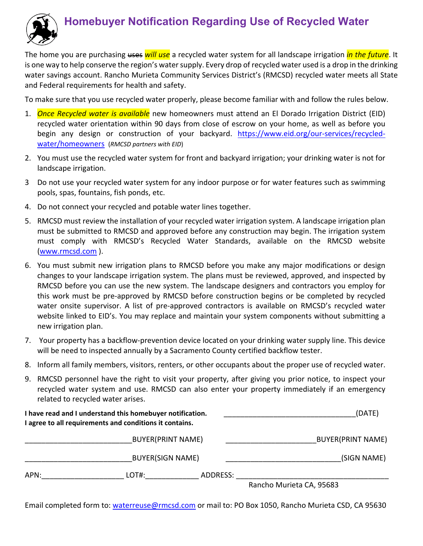

# **Homebuyer Notification Regarding Use of Recycled Water**

The home you are purchasing uses *will use* a recycled water system for all landscape irrigation *in the future*. It is one way to help conserve the region's water supply. Every drop of recycled water used is a drop in the drinking water savings account. Rancho Murieta Community Services District's (RMCSD) recycled water meets all State and Federal requirements for health and safety.

To make sure that you use recycled water properly, please become familiar with and follow the rules below.

- 1. *Once Recycled water is available* new homeowners must attend an El Dorado Irrigation District (EID) recycled water orientation within 90 days from close of escrow on your home, as well as before you begin any design or construction of your backyard. https://www.eid.org/our-services/recycledwater/homeowners (*RMCSD partners with EID*)
- 2. You must use the recycled water system for front and backyard irrigation; your drinking water is not for landscape irrigation.
- 3 Do not use your recycled water system for any indoor purpose or for water features such as swimming pools, spas, fountains, fish ponds, etc.
- 4. Do not connect your recycled and potable water lines together.
- 5. RMCSD must review the installation of your recycled water irrigation system. A landscape irrigation plan must be submitted to RMCSD and approved before any construction may begin. The irrigation system must comply with RMCSD's Recycled Water Standards, available on the RMCSD website (www.rmcsd.com ).
- 6. You must submit new irrigation plans to RMCSD before you make any major modifications or design changes to your landscape irrigation system. The plans must be reviewed, approved, and inspected by RMCSD before you can use the new system. The landscape designers and contractors you employ for this work must be pre‐approved by RMCSD before construction begins or be completed by recycled water onsite supervisor. A list of pre-approved contractors is available on RMCSD's recycled water website linked to EID's. You may replace and maintain your system components without submitting a new irrigation plan.
- 7. Your property has a backflow-prevention device located on your drinking water supply line. This device will be need to inspected annually by a Sacramento County certified backflow tester.
- 8. Inform all family members, visitors, renters, or other occupants about the proper use of recycled water.
- 9. RMCSD personnel have the right to visit your property, after giving you prior notice, to inspect your recycled water system and use. RMCSD can also enter your property immediately if an emergency related to recycled water arises.

|      | I have read and I understand this homebuyer notification.<br>I agree to all requirements and conditions it contains. |          | (DATE)                   |
|------|----------------------------------------------------------------------------------------------------------------------|----------|--------------------------|
|      | <b>BUYER(PRINT NAME)</b><br><b>BUYER(SIGN NAME)</b>                                                                  |          | <b>BUYER(PRINT NAME)</b> |
|      |                                                                                                                      |          | (SIGN NAME)              |
| APN: | LOT#:                                                                                                                | ADDRESS: |                          |
|      |                                                                                                                      |          | Rancho Murieta CA, 95683 |

Email completed form to: waterreuse@rmcsd.com or mail to: PO Box 1050, Rancho Murieta CSD, CA 95630